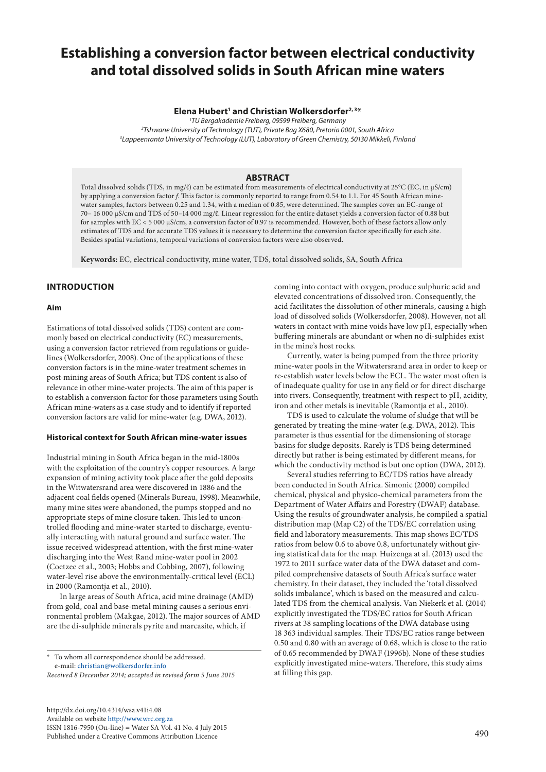# **Establishing a conversion factor between electrical conductivity and total dissolved solids in South African mine waters**

## **Elena Hubert1 and Christian Wolkersdorfer2, 3\***

*1 TU Bergakademie Freiberg, 09599 Freiberg, Germany 2 Tshwane University of Technology (TUT), Private Bag X680, Pretoria 0001, South Africa 3 Lappeenranta University of Technology (LUT), Laboratory of Green Chemistry, 50130 Mikkeli, Finland*

# **ABSTRACT**

Total dissolved solids (TDS, in mg/ℓ) can be estimated from measurements of electrical conductivity at 25°C (EC, in µS/cm) by applying a conversion factor *f*. This factor is commonly reported to range from 0.54 to 1.1. For 45 South African minewater samples, factors between 0.25 and 1.34, with a median of 0.85, were determined. The samples cover an EC-range of 70– 16 000 µS/cm and TDS of 50–14 000 mg/ℓ. Linear regression for the entire dataset yields a conversion factor of 0.88 but for samples with EC < 5 000 µS/cm, a conversion factor of 0.97 is recommended. However, both of these factors allow only estimates of TDS and for accurate TDS values it is necessary to determine the conversion factor specifically for each site. Besides spatial variations, temporal variations of conversion factors were also observed.

**Keywords:** EC, electrical conductivity, mine water, TDS, total dissolved solids, SA, South Africa

# **INTRODUCTION**

#### **Aim**

Estimations of total dissolved solids (TDS) content are commonly based on electrical conductivity (EC) measurements, using a conversion factor retrieved from regulations or guidelines (Wolkersdorfer, 2008). One of the applications of these conversion factors is in the mine-water treatment schemes in post-mining areas of South Africa; but TDS content is also of relevance in other mine-water projects. The aim of this paper is to establish a conversion factor for those parameters using South African mine-waters as a case study and to identify if reported conversion factors are valid for mine-water (e.g. DWA, 2012).

## **Historical context for South African mine-water issues**

Industrial mining in South Africa began in the mid-1800s with the exploitation of the country's copper resources. A large expansion of mining activity took place after the gold deposits in the Witwatersrand area were discovered in 1886 and the adjacent coal fields opened (Minerals Bureau, 1998). Meanwhile, many mine sites were abandoned, the pumps stopped and no appropriate steps of mine closure taken. This led to uncontrolled flooding and mine-water started to discharge, eventually interacting with natural ground and surface water. The issue received widespread attention, with the first mine-water discharging into the West Rand mine-water pool in 2002 (Coetzee et al., 2003; Hobbs and Cobbing, 2007), following water-level rise above the environmentally-critical level (ECL) in 2000 (Ramontja et al., 2010).

In large areas of South Africa, acid mine drainage (AMD) from gold, coal and base-metal mining causes a serious environmental problem (Makgae, 2012). The major sources of AMD are the di-sulphide minerals pyrite and marcasite, which, if

To whom all correspondence should be addressed. e-mail: [christian@wolkersdorfer.info](mailto:christian%40wolkersdorfer.info?subject=)

*Received 8 December 2014; accepted in revised form 5 June 2015*

[http://dx.doi.org/10.4314/wsa.v41i4.](http://dx.doi.org/10.4314/wsa.v41i4.08)08 Available on website <http://www.wrc.org.za> ISSN 1816-7950 (On-line) = Water SA Vol. 41 No. 4 July 2015 Published under a Creative Commons Attribution Licence

coming into contact with oxygen, produce sulphuric acid and elevated concentrations of dissolved iron. Consequently, the acid facilitates the dissolution of other minerals, causing a high load of dissolved solids (Wolkersdorfer, 2008). However, not all waters in contact with mine voids have low pH, especially when buffering minerals are abundant or when no di-sulphides exist in the mine's host rocks.

Currently, water is being pumped from the three priority mine-water pools in the Witwatersrand area in order to keep or re-establish water levels below the ECL. The water most often is of inadequate quality for use in any field or for direct discharge into rivers. Consequently, treatment with respect to pH, acidity, iron and other metals is inevitable (Ramontja et al., 2010).

TDS is used to calculate the volume of sludge that will be generated by treating the mine-water (e.g. DWA, 2012). This parameter is thus essential for the dimensioning of storage basins for sludge deposits. Rarely is TDS being determined directly but rather is being estimated by different means, for which the conductivity method is but one option (DWA, 2012).

Several studies referring to EC/TDS ratios have already been conducted in South Africa. Simonic (2000) compiled chemical, physical and physico-chemical parameters from the Department of Water Affairs and Forestry (DWAF) database. Using the results of groundwater analysis, he compiled a spatial distribution map (Map C2) of the TDS/EC correlation using field and laboratory measurements. This map shows EC/TDS ratios from below 0.6 to above 0.8, unfortunately without giving statistical data for the map. Huizenga at al. (2013) used the 1972 to 2011 surface water data of the DWA dataset and compiled comprehensive datasets of South Africa's surface water chemistry. In their dataset, they included the 'total dissolved solids imbalance', which is based on the measured and calculated TDS from the chemical analysis. Van Niekerk et al. (2014) explicitly investigated the TDS/EC ratios for South African rivers at 38 sampling locations of the DWA database using 18 363 individual samples. Their TDS/EC ratios range between 0.50 and 0.80 with an average of 0.68, which is close to the ratio of 0.65 recommended by DWAF (1996b). None of these studies explicitly investigated mine-waters. Therefore, this study aims at filling this gap.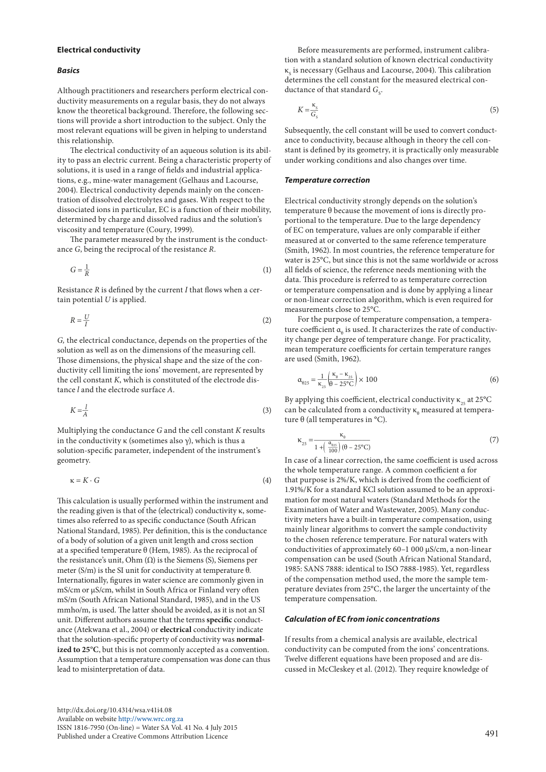#### **Electrical conductivity**

#### *Basics*

Although practitioners and researchers perform electrical conductivity measurements on a regular basis, they do not always know the theoretical background. Therefore, the following sections will provide a short introduction to the subject. Only the most relevant equations will be given in helping to understand this relationship.

The electrical conductivity of an aqueous solution is its ability to pass an electric current. Being a characteristic property of solutions, it is used in a range of fields and industrial applications, e.g., mine-water management (Gelhaus and Lacourse, 2004). Electrical conductivity depends mainly on the concentration of dissolved electrolytes and gases. With respect to the dissociated ions in particular, EC is a function of their mobility, determined by charge and dissolved radius and the solution's viscosity and temperature (Coury, 1999).

The parameter measured by the instrument is the conductance *G*, being the reciprocal of the resistance *R*.

$$
G = \frac{1}{R} \tag{1}
$$

Resistance *R* is defined by the current *I* that flows when a certain potential *U* is applied.

$$
R = \frac{U}{I} \tag{2}
$$

*G,* the electrical conductance, depends on the properties of the solution as well as on the dimensions of the measuring cell. Those dimensions, the physical shape and the size of the conductivity cell limiting the ions' movement, are represented by the cell constant *K*, which is constituted of the electrode distance *l* and the electrode surface *A*.

$$
K = \frac{1}{A} \tag{3}
$$

Multiplying the conductance *G* and the cell constant *K* results in the conductivity  $\kappa$  (sometimes also  $\gamma$ ), which is thus a solution-specific parameter, independent of the instrument's geometry.

$$
\kappa = K \cdot G \tag{4}
$$

This calculation is usually performed within the instrument and the reading given is that of the (electrical) conductivity κ, sometimes also referred to as specific conductance (South African National Standard, 1985). Per definition, this is the conductance of a body of solution of a given unit length and cross section at a specified temperature θ (Hem, 1985). As the reciprocal of the resistance's unit, Ohm  $(Ω)$  is the Siemens  $(S)$ , Siemens per meter (S/m) is the SI unit for conductivity at temperature θ. Internationally, figures in water science are commonly given in mS/cm or µS/cm, whilst in South Africa or Finland very often mS/m (South African National Standard, 1985), and in the US mmho/m, is used. The latter should be avoided, as it is not an SI unit. Different authors assume that the terms **specific** conductance (Atekwana et al., 2004) or **electrical** conductivity indicate that the solution-specific property of conductivity was **normalized to 25°C**, but this is not commonly accepted as a convention. Assumption that a temperature compensation was done can thus lead to misinterpretation of data.

[http://dx.doi.org/10.4314/wsa.v41i4.0](http://dx.doi.org/10.4314/wsa.v41i4.08)8 Available on website<http://www.wrc.org.za> ISSN 1816-7950 (On-line) = Water SA Vol. 41 No. 4 July 2015 Published under a Creative Commons Attribution Licence

Before measurements are performed, instrument calibration with a standard solution of known electrical conductivity  $\kappa_{_{\rm S}}$  is necessary (Gelhaus and Lacourse, 2004). This calibration determines the cell constant for the measured electrical conductance of that standard  $G<sub>s</sub>$ .

$$
K = \frac{\kappa_s}{G_s} \tag{5}
$$

Subsequently, the cell constant will be used to convert conductance to conductivity, because although in theory the cell constant is defined by its geometry, it is practically only measurable under working conditions and also changes over time.

#### *Temperature correction*

Electrical conductivity strongly depends on the solution's temperature θ because the movement of ions is directly proportional to the temperature. Due to the large dependency of EC on temperature, values are only comparable if either measured at or converted to the same reference temperature (Smith, 1962). In most countries, the reference temperature for water is 25°C, but since this is not the same worldwide or across all fields of science, the reference needs mentioning with the data. This procedure is referred to as temperature correction or temperature compensation and is done by applying a linear or non-linear correction algorithm, which is even required for measurements close to 25°C.

For the purpose of temperature compensation, a temperature coefficient  $\mathfrak{a}_{_{\boldsymbol{\theta}}}$  is used. It characterizes the rate of conductivity change per degree of temperature change. For practicality, mean temperature coefficients for certain temperature ranges are used (Smith, 1962).

$$
\alpha_{\theta 25} = \frac{1}{\kappa_{25}} \left( \frac{\kappa_{\theta} - \kappa_{25}}{\theta - 25^{\circ} \text{C}} \right) \times 100 \tag{6}
$$

By applying this coefficient, electrical conductivity  $\kappa_{25}$  at 25°C can be calculated from a conductivity  $\kappa_{_{\theta}}$  measured at tempera-

ture θ (all temperatures in °C).  
\n
$$
\kappa_{25} = \frac{\kappa_{0}}{1 + \left(\frac{\alpha_{025}}{100}\right)(\theta - 25^{\circ}\text{C})}
$$
\n(7)

In case of a linear correction, the same coefficient is used across the whole temperature range. A common coefficient α for that purpose is 2%/K, which is derived from the coefficient of 1.91%/K for a standard KCl solution assumed to be an approximation for most natural waters (Standard Methods for the Examination of Water and Wastewater, 2005). Many conductivity meters have a built-in temperature compensation, using mainly linear algorithms to convert the sample conductivity to the chosen reference temperature. For natural waters with conductivities of approximately 60–1 000 µS/cm, a non-linear compensation can be used (South African National Standard, 1985: SANS 7888: identical to ISO 7888-1985). Yet, regardless of the compensation method used, the more the sample temperature deviates from 25°C, the larger the uncertainty of the temperature compensation.

## *Calculation of EC from ionic concentrations*

If results from a chemical analysis are available, electrical conductivity can be computed from the ions' concentrations. Twelve different equations have been proposed and are discussed in McCleskey et al. (2012). They require knowledge of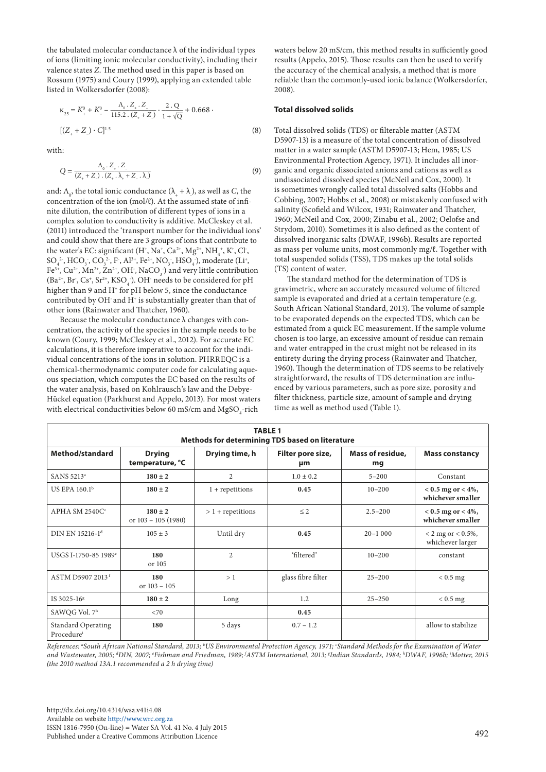the tabulated molecular conductance  $\lambda$  of the individual types of ions (limiting ionic molecular conductivity), including their valence states *Z*. The method used in this paper is based on Rossum (1975) and Coury (1999), applying an extended table listed in Wolkersdorfer (2008):

$$
\kappa_{25} = K_{+}^{0} + K_{-}^{0} - \frac{\Lambda_{0} \cdot Z_{+} \cdot Z_{-}}{115.2 \cdot (Z_{+} + Z)} \cdot \frac{2 \cdot Q}{1 + \sqrt{Q}} + 0.668 \cdot \left[ (Z_{+} + Z) \cdot C \right]^{1.5}
$$
\n(8)

with:

1:  
\n
$$
Q = \frac{\Lambda_0 \cdot Z_+ \cdot Z_-}{(Z_+ + Z_-) \cdot (Z_+ \cdot \lambda_+ + Z_- \cdot \lambda)}
$$
\n(9)

and:  $\Lambda_0$ , the total ionic conductance  $(\lambda_+ + \lambda_0)$ , as well as *C*, the concentration of the ion (mol/ℓ). At the assumed state of infinite dilution, the contribution of different types of ions in a complex solution to conductivity is additive. McCleskey et al. (2011) introduced the 'transport number for the individual ions' and could show that there are 3 groups of ions that contribute to the water's EC: significant (H<sup>+</sup>, Na<sup>+</sup>, Ca<sup>2+</sup>, Mg<sup>2+</sup>, NH<sub>4</sub><sup>+</sup>, K<sup>+</sup>, Cl<sup>-</sup>,  $SO_4^2$ <sup>-</sup>, HCO<sub>3</sub><sup>-</sup>, CO<sub>3</sub><sup>2</sup>-, F<sup>-</sup>, Al<sup>3+</sup>, Fe<sup>2+</sup>, NO<sub>3</sub><sup>-</sup>, HSO<sub>4</sub><sup>-</sup>), moderate (Li<sup>+</sup>, Fe<sup>3+</sup>, Cu<sup>2+</sup>, Mn<sup>2+</sup>, Zn<sup>2+</sup>, OH<sup>-</sup>, NaCO<sub>3</sub><sup>-</sup>) and very little contribution  $(Ba^{2+}, Br, Cs^+, Sr^{2+}, KSO<sub>4</sub>)$ . OH needs to be considered for pH higher than 9 and H<sup>+</sup> for pH below 5, since the conductance contributed by OH and H<sup>+</sup> is substantially greater than that of other ions (Rainwater and Thatcher, 1960).

Because the molecular conductance  $\lambda$  changes with concentration, the activity of the species in the sample needs to be known (Coury, 1999; McCleskey et al., 2012). For accurate EC calculations, it is therefore imperative to account for the individual concentrations of the ions in solution. PHRREQC is a chemical-thermodynamic computer code for calculating aqueous speciation, which computes the EC based on the results of the water analysis, based on Kohlrausch's law and the Debye-Hückel equation (Parkhurst and Appelo, 2013). For most waters with electrical conductivities below 60 mS/cm and  $MgSO_{4}$ -rich

waters below 20 mS/cm, this method results in sufficiently good results (Appelo, 2015). Those results can then be used to verify the accuracy of the chemical analysis, a method that is more reliable than the commonly-used ionic balance (Wolkersdorfer, 2008).

## **Total dissolved solids**

Total dissolved solids (TDS) or filterable matter (ASTM D5907-13) is a measure of the total concentration of dissolved matter in a water sample (ASTM D5907-13; Hem, 1985; US Environmental Protection Agency, 1971). It includes all inorganic and organic dissociated anions and cations as well as undissociated dissolved species (McNeil and Cox, 2000). It is sometimes wrongly called total dissolved salts (Hobbs and Cobbing, 2007; Hobbs et al., 2008) or mistakenly confused with salinity (Scofield and Wilcox, 1931; Rainwater and Thatcher, 1960; McNeil and Cox, 2000; Zinabu et al., 2002; Oelofse and Strydom, 2010). Sometimes it is also defined as the content of dissolved inorganic salts (DWAF, 1996b). Results are reported as mass per volume units, most commonly mg/ℓ. Together with total suspended solids (TSS), TDS makes up the total solids (TS) content of water.

The standard method for the determination of TDS is gravimetric, where an accurately measured volume of filtered sample is evaporated and dried at a certain temperature (e.g. South African National Standard, 2013). The volume of sample to be evaporated depends on the expected TDS, which can be estimated from a quick EC measurement. If the sample volume chosen is too large, an excessive amount of residue can remain and water entrapped in the crust might not be released in its entirety during the drying process (Rainwater and Thatcher, 1960). Though the determination of TDS seems to be relatively straightforward, the results of TDS determination are influenced by various parameters, such as pore size, porosity and filter thickness, particle size, amount of sample and drying time as well as method used (Table 1).

| <b>TABLE 1</b><br><b>Methods for determining TDS based on literature</b> |                                      |                     |                         |                        |                                              |  |
|--------------------------------------------------------------------------|--------------------------------------|---------------------|-------------------------|------------------------|----------------------------------------------|--|
| Method/standard                                                          | <b>Drying</b><br>temperature, °C     | Drying time, h      | Filter pore size,<br>μm | Mass of residue,<br>mg | <b>Mass constancy</b>                        |  |
| SANS 5213 <sup>a</sup>                                                   | $180 \pm 2$                          | $\overline{2}$      | $1.0 + 0.2$             | $5 - 200$              | Constant                                     |  |
| US EPA 160.1 <sup>b</sup>                                                | $180 \pm 2$                          | $1 + repetitions$   | 0.45                    | $10 - 200$             | $< 0.5$ mg or $< 4\%$ ,<br>whichever smaller |  |
| APHA SM $2540Cc$                                                         | $180 \pm 2$<br>or $103 - 105$ (1980) | $> 1$ + repetitions | $\leq$ 2                | $2.5 - 200$            | $< 0.5$ mg or $< 4\%$ ,<br>whichever smaller |  |
| DIN EN 15216-1 <sup>d</sup>                                              | $105 + 3$                            | Until dry           | 0.45                    | $20 - 1000$            | $< 2$ mg or $< 0.5\%$ ,<br>whichever larger  |  |
| USGS I-1750-85 1989 <sup>e</sup>                                         | 180<br>or 105                        | $\overline{c}$      | 'filtered'              | $10 - 200$             | constant                                     |  |
| ASTM D5907 2013 <sup>f</sup>                                             | 180<br>or $103 - 105$                | >1                  | glass fibre filter      | $25 - 200$             | $< 0.5$ mg                                   |  |
| IS 3025-16 <sup>g</sup>                                                  | $180 \pm 2$                          | Long                | 1.2                     | $25 - 250$             | $< 0.5$ mg                                   |  |
| SAWQG Vol. 7h                                                            | < 70                                 |                     | 0.45                    |                        |                                              |  |
| <b>Standard Operating</b><br>Procedurei                                  | 180                                  | 5 days              | $0.7 - 1.2$             |                        | allow to stabilize                           |  |

*References: a South African National Standard, 2013; b US Environmental Protection Agency, 1971; c Standard Methods for the Examination of Water and Wastewater, 2005; d DIN, 2007; e Fishman and Friedman, 1989; f ASTM International, 2013; g Indian Standards, 1984; h DWAF, 1996b; i Motter, 2015 (the 2010 method 13A.1 recommended a 2 h drying time)*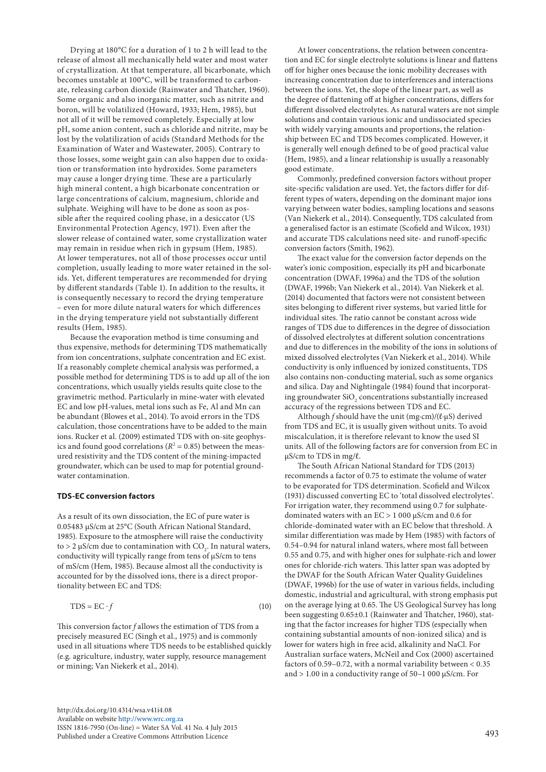Drying at 180°C for a duration of 1 to 2 h will lead to the release of almost all mechanically held water and most water of crystallization. At that temperature, all bicarbonate, which becomes unstable at 100°C, will be transformed to carbonate, releasing carbon dioxide (Rainwater and Thatcher, 1960). Some organic and also inorganic matter, such as nitrite and boron, will be volatilized (Howard, 1933; Hem, 1985), but not all of it will be removed completely. Especially at low pH, some anion content, such as chloride and nitrite, may be lost by the volatilization of acids (Standard Methods for the Examination of Water and Wastewater, 2005). Contrary to those losses, some weight gain can also happen due to oxidation or transformation into hydroxides. Some parameters may cause a longer drying time. These are a particularly high mineral content, a high bicarbonate concentration or large concentrations of calcium, magnesium, chloride and sulphate. Weighing will have to be done as soon as possible after the required cooling phase, in a desiccator (US Environmental Protection Agency, 1971). Even after the slower release of contained water, some crystallization water may remain in residue when rich in gypsum (Hem, 1985). At lower temperatures, not all of those processes occur until completion, usually leading to more water retained in the solids. Yet, different temperatures are recommended for drying by different standards (Table 1). In addition to the results, it is consequently necessary to record the drying temperature – even for more dilute natural waters for which differences in the drying temperature yield not substantially different results (Hem, 1985).

Because the evaporation method is time consuming and thus expensive, methods for determining TDS mathematically from ion concentrations, sulphate concentration and EC exist. If a reasonably complete chemical analysis was performed, a possible method for determining TDS is to add up all of the ion concentrations, which usually yields results quite close to the gravimetric method. Particularly in mine-water with elevated EC and low pH-values, metal ions such as Fe, Al and Mn can be abundant (Blowes et al., 2014). To avoid errors in the TDS calculation, those concentrations have to be added to the main ions. Rucker et al. (2009) estimated TDS with on-site geophysics and found good correlations ( $R<sup>2</sup> = 0.85$ ) between the measured resistivity and the TDS content of the mining-impacted groundwater, which can be used to map for potential groundwater contamination.

#### **TDS-EC conversion factors**

As a result of its own dissociation, the EC of pure water is 0.05483 µS/cm at 25°C (South African National Standard, 1985). Exposure to the atmosphere will raise the conductivity to > 2 µS/cm due to contamination with  $CO_2$ . In natural waters, conductivity will typically range from tens of µS/cm to tens of mS/cm (Hem, 1985). Because almost all the conductivity is accounted for by the dissolved ions, there is a direct proportionality between EC and TDS:

$$
TDS = EC \cdot f \tag{10}
$$

This conversion factor *f* allows the estimation of TDS from a precisely measured EC (Singh et al., 1975) and is commonly used in all situations where TDS needs to be established quickly (e.g. agriculture, industry, water supply, resource management or mining; Van Niekerk et al., 2014).

At lower concentrations, the relation between concentration and EC for single electrolyte solutions is linear and flattens off for higher ones because the ionic mobility decreases with increasing concentration due to interferences and interactions between the ions. Yet, the slope of the linear part, as well as the degree of flattening off at higher concentrations, differs for different dissolved electrolytes. As natural waters are not simple solutions and contain various ionic and undissociated species with widely varying amounts and proportions, the relationship between EC and TDS becomes complicated. However, it is generally well enough defined to be of good practical value (Hem, 1985), and a linear relationship is usually a reasonably good estimate.

Commonly, predefined conversion factors without proper site-specific validation are used. Yet, the factors differ for different types of waters, depending on the dominant major ions varying between water bodies, sampling locations and seasons (Van Niekerk et al., 2014). Consequently, TDS calculated from a generalised factor is an estimate (Scofield and Wilcox, 1931) and accurate TDS calculations need site- and runoff-specific conversion factors (Smith, 1962).

The exact value for the conversion factor depends on the water's ionic composition, especially its pH and bicarbonate concentration (DWAF, 1996a) and the TDS of the solution (DWAF, 1996b; Van Niekerk et al., 2014). Van Niekerk et al. (2014) documented that factors were not consistent between sites belonging to different river systems, but varied little for individual sites. The ratio cannot be constant across wide ranges of TDS due to differences in the degree of dissociation of dissolved electrolytes at different solution concentrations and due to differences in the mobility of the ions in solutions of mixed dissolved electrolytes (Van Niekerk et al., 2014). While conductivity is only influenced by ionized constituents, TDS also contains non-conducting material, such as some organics and silica. Day and Nightingale (1984) found that incorporating groundwater  $\mathrm{SiO}_{_2}$  concentrations substantially increased accuracy of the regressions between TDS and EC.

Although *f* should have the unit (mg∙cm)/(ℓ∙µS) derived from TDS and EC, it is usually given without units. To avoid miscalculation, it is therefore relevant to know the used SI units. All of the following factors are for conversion from EC in µS/cm to TDS in mg/ℓ.

The South African National Standard for TDS (2013) recommends a factor of 0.75 to estimate the volume of water to be evaporated for TDS determination. Scofield and Wilcox (1931) discussed converting EC to 'total dissolved electrolytes'. For irrigation water, they recommend using 0.7 for sulphatedominated waters with an EC > 1 000 µS/cm and 0.6 for chloride-dominated water with an EC below that threshold. A similar differentiation was made by Hem (1985) with factors of 0.54–0.94 for natural inland waters, where most fall between 0.55 and 0.75, and with higher ones for sulphate-rich and lower ones for chloride-rich waters. This latter span was adopted by the DWAF for the South African Water Quality Guidelines (DWAF, 1996b) for the use of water in various fields, including domestic, industrial and agricultural, with strong emphasis put on the average lying at 0.65. The US Geological Survey has long been suggesting 0.65±0.1 (Rainwater and Thatcher, 1960), stating that the factor increases for higher TDS (especially when containing substantial amounts of non-ionized silica) and is lower for waters high in free acid, alkalinity and NaCl. For Australian surface waters, McNeil and Cox (2000) ascertained factors of 0.59–0.72, with a normal variability between < 0.35 and  $> 1.00$  in a conductivity range of 50–1 000  $\mu$ S/cm. For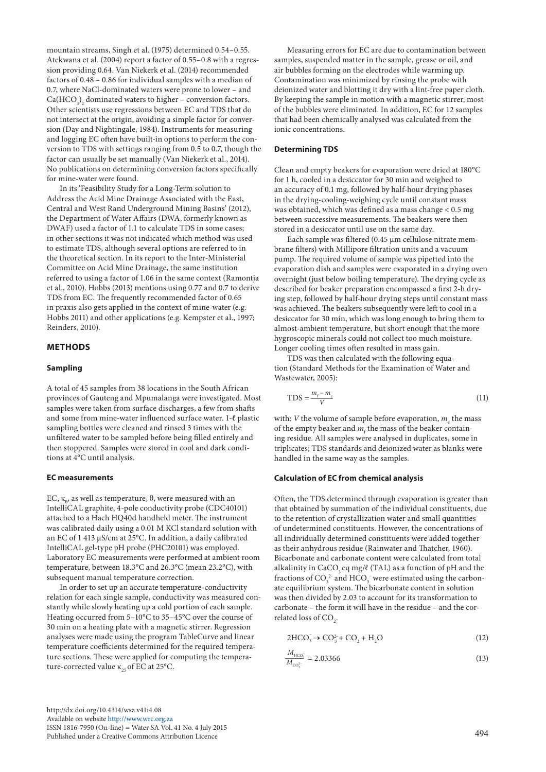mountain streams, Singh et al. (1975) determined 0.54–0.55. Atekwana et al. (2004) report a factor of 0.55–0.8 with a regression providing 0.64. Van Niekerk et al. (2014) recommended factors of 0.48 – 0.86 for individual samples with a median of 0.7, where NaCl-dominated waters were prone to lower – and  $Ca(HCO<sub>3</sub>)<sub>2</sub>$  dominated waters to higher – conversion factors. Other scientists use regressions between EC and TDS that do not intersect at the origin, avoiding a simple factor for conversion (Day and Nightingale, 1984). Instruments for measuring and logging EC often have built-in options to perform the conversion to TDS with settings ranging from 0.5 to 0.7, though the factor can usually be set manually (Van Niekerk et al., 2014). No publications on determining conversion factors specifically for mine-water were found.

In its 'Feasibility Study for a Long-Term solution to Address the Acid Mine Drainage Associated with the East, Central and West Rand Underground Mining Basins' (2012), the Department of Water Affairs (DWA, formerly known as DWAF) used a factor of 1.1 to calculate TDS in some cases; in other sections it was not indicated which method was used to estimate TDS, although several options are referred to in the theoretical section. In its report to the Inter-Ministerial Committee on Acid Mine Drainage, the same institution referred to using a factor of 1.06 in the same context (Ramontja et al., 2010). Hobbs (2013) mentions using 0.77 and 0.7 to derive TDS from EC. The frequently recommended factor of 0.65 in praxis also gets applied in the context of mine-water (e.g. Hobbs 2011) and other applications (e.g. Kempster et al., 1997; Reinders, 2010).

## **METHODS**

## **Sampling**

A total of 45 samples from 38 locations in the South African provinces of Gauteng and Mpumalanga were investigated. Most samples were taken from surface discharges, a few from shafts and some from mine-water influenced surface water. 1-ℓ plastic sampling bottles were cleaned and rinsed 3 times with the unfiltered water to be sampled before being filled entirely and then stoppered. Samples were stored in cool and dark conditions at 4°C until analysis.

#### **EC measurements**

EC,  $\kappa_{\scriptscriptstyle{\theta}}$ , as well as temperature, θ, were measured with an IntelliCAL graphite, 4-pole conductivity probe (CDC40101) attached to a Hach HQ40d handheld meter. The instrument was calibrated daily using a 0.01 M KCl standard solution with an EC of 1 413 µS/cm at 25°C. In addition, a daily calibrated IntelliCAL gel-type pH probe (PHC20101) was employed. Laboratory EC measurements were performed at ambient room temperature, between 18.3°C and 26.3°C (mean 23.2°C), with subsequent manual temperature correction.

In order to set up an accurate temperature-conductivity relation for each single sample, conductivity was measured constantly while slowly heating up a cold portion of each sample. Heating occurred from 5–10°C to 35–45°C over the course of 30 min on a heating plate with a magnetic stirrer. Regression analyses were made using the program TableCurve and linear temperature coefficients determined for the required temperature sections. These were applied for computing the temperature-corrected value  $\kappa_{25}$  of EC at 25°C.

Measuring errors for EC are due to contamination between samples, suspended matter in the sample, grease or oil, and air bubbles forming on the electrodes while warming up. Contamination was minimized by rinsing the probe with deionized water and blotting it dry with a lint-free paper cloth. By keeping the sample in motion with a magnetic stirrer, most of the bubbles were eliminated. In addition, EC for 12 samples that had been chemically analysed was calculated from the ionic concentrations.

## **Determining TDS**

Clean and empty beakers for evaporation were dried at 180°C for 1 h, cooled in a desiccator for 30 min and weighed to an accuracy of 0.1 mg, followed by half-hour drying phases in the drying-cooling-weighing cycle until constant mass was obtained, which was defined as a mass change < 0.5 mg between successive measurements. The beakers were then stored in a desiccator until use on the same day.

Each sample was filtered (0.45 µm cellulose nitrate membrane filters) with Millipore filtration units and a vacuum pump. The required volume of sample was pipetted into the evaporation dish and samples were evaporated in a drying oven overnight (just below boiling temperature). The drying cycle as described for beaker preparation encompassed a first 2-h drying step, followed by half-hour drying steps until constant mass was achieved. The beakers subsequently were left to cool in a desiccator for 30 min, which was long enough to bring them to almost-ambient temperature, but short enough that the more hygroscopic minerals could not collect too much moisture. Longer cooling times often resulted in mass gain.

TDS was then calculated with the following equation (Standard Methods for the Examination of Water and Wastewater, 2005):

$$
TDS = \frac{m_{\tilde{t}} - m_{\tilde{c}}}{V} \tag{11}
$$

with: *V* the volume of sample before evaporation,  $m_{\rm e}$  the mass of the empty beaker and  $m_{\rm f}$  the mass of the beaker containing residue. All samples were analysed in duplicates, some in triplicates; TDS standards and deionized water as blanks were handled in the same way as the samples.

## **Calculation of EC from chemical analysis**

Often, the TDS determined through evaporation is greater than that obtained by summation of the individual constituents, due to the retention of crystallization water and small quantities of undetermined constituents. However, the concentrations of all individually determined constituents were added together as their anhydrous residue (Rainwater and Thatcher, 1960). Bicarbonate and carbonate content were calculated from total alkalinity in CaCO<sub>2</sub> eq mg/ $\ell$  (TAL) as a function of pH and the fractions of  $CO_3^2$  and  $HCO_3^-$  were estimated using the carbonate equilibrium system. The bicarbonate content in solution was then divided by 2.03 to account for its transformation to carbonate – the form it will have in the residue – and the correlated loss of  $CO<sub>2</sub>$ .

$$
2\text{HCO}_3^- \to \text{CO}_3^{2-} + \text{CO}_2 + \text{H}_2\text{O}
$$
 (12)

$$
\frac{M_{\text{HCO}_3^-}}{M_{\text{CO}_3^{2+}}} = 2.03366\tag{13}
$$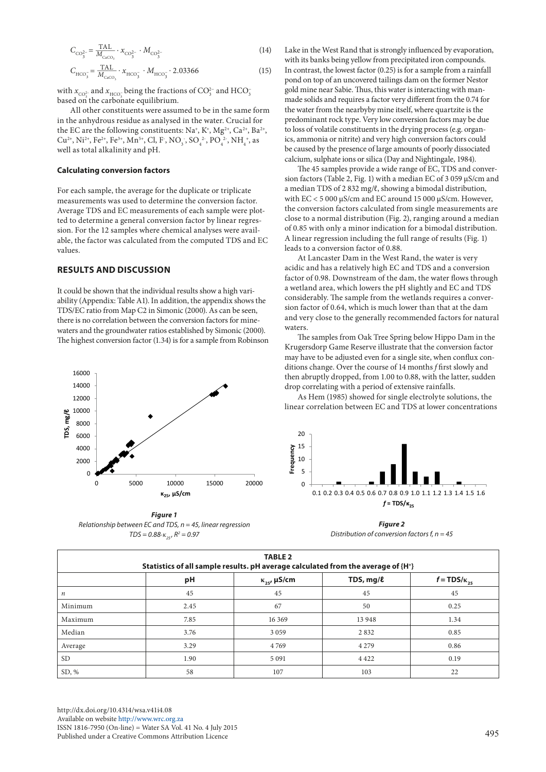$$
C_{\text{CO}_3^{2-}} = \frac{\text{TAL}}{M_{\text{CaCO}_3}} \cdot \chi_{\text{CO}_3^{2-}} \cdot M_{\text{CO}_3^{2-}} \tag{14}
$$

$$
C_{\text{HCO}_3^-} = \frac{\text{TAL}}{M_{\text{c}_{\text{aCO}_3}}} \cdot x_{\text{HCO}_3^-} \cdot M_{\text{HCO}_3^-} \cdot 2.03366 \tag{15}
$$

with  $x_{\mathrm{CO}_3^{2-}}$  and  $x_{\mathrm{HCO}_3^-}$  being the fractions of  $\mathrm{CO}_3^{2-}$  and  $\mathrm{HCO}_3^$ based on the carbonate equilibrium.

All other constituents were assumed to be in the same form in the anhydrous residue as analysed in the water. Crucial for the EC are the following constituents: Na<sup>+</sup>, K<sup>+</sup>, Mg<sup>2+</sup>, Ca<sup>2+</sup>, Ba<sup>2+</sup>, Cu<sup>2+</sup>, Ni<sup>2+</sup>, Fe<sup>2+</sup>, Fe<sup>3+</sup>, Mn<sup>5+</sup>, Cl, F<sup>-</sup>, NO<sub>3</sub></sub>, SO<sub>4</sub><sup>2</sup>, PO<sub>4</sub><sup>2</sup>, NH<sub>4</sub><sup>+</sup>, as well as total alkalinity and pH.

## **Calculating conversion factors**

For each sample, the average for the duplicate or triplicate measurements was used to determine the conversion factor. Average TDS and EC measurements of each sample were plotted to determine a general conversion factor by linear regression. For the 12 samples where chemical analyses were available, the factor was calculated from the computed TDS and EC values.

## **RESULTS AND DISCUSSION**

It could be shown that the individual results show a high variability (Appendix: Table A1). In addition, the appendix shows the TDS/EC ratio from Map C2 in Simonic (2000). As can be seen, there is no correlation between the conversion factors for minewaters and the groundwater ratios established by Simonic (2000). The highest conversion factor (1.34) is for a sample from Robinson



*Figure 1 Relationship between EC and TDS, n = 45, linear regression*   $TDS = 0.88$ <sup>*⋅κ*<sub>25</sub></sub>,  $R^2 = 0.97$ </sup> Fig. 1 – Relationship between EC and TDS, n = 45, linear regression TDS = 0.88κ25, R<sup>2</sup>

Lake in the West Rand that is strongly influenced by evaporation, with its banks being yellow from precipitated iron compounds. In contrast, the lowest factor (0.25) is for a sample from a rainfall pond on top of an uncovered tailings dam on the former Nestor gold mine near Sabie. Thus, this water is interacting with manmade solids and requires a factor very different from the 0.74 for the water from the nearbyby mine itself, where quartzite is the predominant rock type. Very low conversion factors may be due to loss of volatile constituents in the drying process (e.g. organics, ammonia or nitrite) and very high conversion factors could be caused by the presence of large amounts of poorly dissociated calcium, sulphate ions or silica (Day and Nightingale, 1984).

The 45 samples provide a wide range of EC, TDS and conversion factors (Table 2, Fig. 1) with a median EC of 3 059 µS/cm and a median TDS of 2 832 mg/ℓ, showing a bimodal distribution, with EC < 5 000 µS/cm and EC around 15 000 µS/cm. However, the conversion factors calculated from single measurements are close to a normal distribution (Fig. 2), ranging around a median of 0.85 with only a minor indication for a bimodal distribution. A linear regression including the full range of results (Fig. 1) leads to a conversion factor of 0.88.

At Lancaster Dam in the West Rand, the water is very acidic and has a relatively high EC and TDS and a conversion factor of 0.98. Downstream of the dam, the water flows through a wetland area, which lowers the pH slightly and EC and TDS considerably. The sample from the wetlands requires a conversion factor of 0.64, which is much lower than that at the dam and very close to the generally recommended factors for natural waters.

The samples from Oak Tree Spring below Hippo Dam in the Krugersdorp Game Reserve illustrate that the conversion factor may have to be adjusted even for a single site, when conflux conditions change. Over the course of 14 months *f* first slowly and then abruptly dropped, from 1.00 to 0.88, with the latter, sudden drop correlating with a period of extensive rainfalls.

As Hem (1985) showed for single electrolyte solutions, the linear correlation between EC and TDS at lower concentrations



*Figure 2 Distribution of conversion factors f, n = 45* Fig. 2 – Distribution of conversion factors f, n = 45

| <b>TABLE 2</b><br>Statistics of all sample results. pH average calculated from the average of {H <sup>+</sup> } |      |                       |           |                       |  |  |
|-----------------------------------------------------------------------------------------------------------------|------|-----------------------|-----------|-----------------------|--|--|
|                                                                                                                 | рH   | $\kappa_{25}$ , µS/cm | TDS, mg/l | $f = TDS/\kappa_{25}$ |  |  |
| $\boldsymbol{n}$                                                                                                | 45   | 45                    | 45        | 45                    |  |  |
| Minimum                                                                                                         | 2.45 | 67                    | 50        | 0.25                  |  |  |
| Maximum                                                                                                         | 7.85 | 16 3 69               | 13 948    | 1.34                  |  |  |
| Median                                                                                                          | 3.76 | 3059                  | 2832      | 0.85                  |  |  |
| Average                                                                                                         | 3.29 | 4769                  | 4 2 7 9   | 0.86                  |  |  |
| <b>SD</b>                                                                                                       | 1.90 | 5 0 9 1               | 4 4 2 2   | 0.19                  |  |  |
| SD, %                                                                                                           | 58   | 107                   | 103       | 22                    |  |  |

[http://dx.doi.org/10.4314/wsa.v41i4.0](http://dx.doi.org/10.4314/wsa.v41i4.08)8 Available on website<http://www.wrc.org.za> ISSN 1816-7950 (On-line) = Water SA Vol. 41 No. 4 July 2015 Published under a Creative Commons Attribution Licence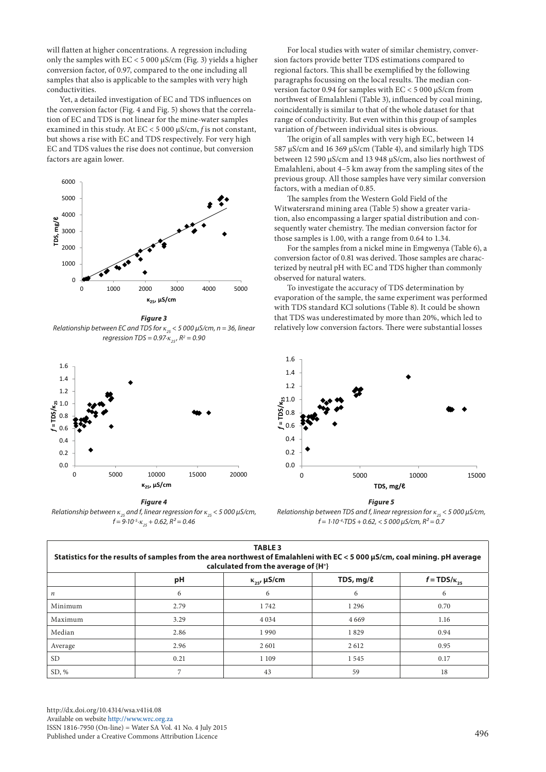will flatten at higher concentrations. A regression including only the samples with  $EC < 5000 \mu s/cm$  (Fig. 3) yields a higher conversion factor, of 0.97, compared to the one including all samples that also is applicable to the samples with very high conductivities.

Yet, a detailed investigation of EC and TDS influences on the conversion factor (Fig. 4 and Fig. 5) shows that the correlation of EC and TDS is not linear for the mine-water samples examined in this study. At EC < 5 000 µS/cm, *f* is not constant, but shows a rise with EC and TDS respectively. For very high EC and TDS values the rise does not continue, but conversion factors are again lower.



*Figure 3 Relationship between EC and TDS for*  $\kappa_{25}$  *< 5 000*  $\mu$ *S/cm, n = 36, linear relatively l regression TDS* = 0.97⋅*κ*<sub>25</sub>, R<sup>2</sup> = 0.90



*Figure 4 Relationship between κ25 and f, linear regression for κ<sup>25</sup> < 5 000 µS/cm,*   $f = 9.10^{-5}$ ⋅ $\kappa_{25} + 0.62$ ,  $R^2 = 0.46$  f = 1⋅

For local studies with water of similar chemistry, conversion factors provide better TDS estimations compared to regional factors. This shall be exemplified by the following paragraphs focussing on the local results. The median conversion factor 0.94 for samples with EC < 5 000 µS/cm from northwest of Emalahleni (Table 3), influenced by coal mining, coincidentally is similar to that of the whole dataset for that range of conductivity. But even within this group of samples variation of *f* between individual sites is obvious.

The origin of all samples with very high EC, between 14 587 µS/cm and 16 369 µS/cm (Table 4), and similarly high TDS between 12 590 µS/cm and 13 948 µS/cm, also lies northwest of Emalahleni, about 4–5 km away from the sampling sites of the previous group. All those samples have very similar conversion factors, with a median of 0.85.

The samples from the Western Gold Field of the Witwatersrand mining area (Table 5) show a greater variation, also encompassing a larger spatial distribution and consequently water chemistry. The median conversion factor for those samples is 1.00, with a range from 0.64 to 1.34.

For the samples from a nickel mine in Emgwenya (Table 6), a conversion factor of 0.81 was derived. Those samples are characterized by neutral pH with EC and TDS higher than commonly observed for natural waters.

To investigate the accuracy of TDS determination by evaporation of the sample, the same experiment was performed with TDS standard KCl solutions (Table 8). It could be shown that TDS was underestimated by more than 20%, which led to relatively low conversion factors. There were substantial losses



*Figure 5 rigure 5<br>Relationship between TDS and f, linear regression for*  $κ_{25}$ *< 5 000 μS/cm, f = 1∙10-4∙TDS + 0.62, < 5 000 µS/cm, R² = 0.7* + 0.62, < 5 000 µS/cm, R² = 0.7

| <b>TABLE 3</b><br>Statistics for the results of samples from the area northwest of Emalahleni with EC < 5 000 µS/cm, coal mining. pH average<br>calculated from the average of {H <sup>+</sup> } |      |                            |             |                       |  |  |
|--------------------------------------------------------------------------------------------------------------------------------------------------------------------------------------------------|------|----------------------------|-------------|-----------------------|--|--|
|                                                                                                                                                                                                  | pH   | $\kappa_{25}$ , $\mu$ S/cm | TDS, $mg/l$ | $f = TDS/\kappa_{25}$ |  |  |
| $\boldsymbol{n}$                                                                                                                                                                                 | 6    | 6                          | 6           | 6                     |  |  |
| Minimum                                                                                                                                                                                          | 2.79 | 1742                       | 1 2 9 6     | 0.70                  |  |  |
| Maximum                                                                                                                                                                                          | 3.29 | 4 0 3 4                    | 4 6 6 9     | 1.16                  |  |  |
| Median                                                                                                                                                                                           | 2.86 | 1990                       | 1829        | 0.94                  |  |  |
| Average                                                                                                                                                                                          | 2.96 | 2601                       | 2612        | 0.95                  |  |  |
| SD.                                                                                                                                                                                              | 0.21 | 1 1 0 9                    | 1545        | 0.17                  |  |  |
| SD, %                                                                                                                                                                                            | 7    | 43                         | 59          | 18                    |  |  |

 $\overline{a}$ 

[http://dx.doi.org/10.4314/wsa.v41i4.](http://dx.doi.org/10.4314/wsa.v41i4.08)08 Available on website <http://www.wrc.org.za> ISSN 1816-7950 (On-line) = Water SA Vol. 41 No. 4 July 2015 Published under a Creative Commons Attribution Licence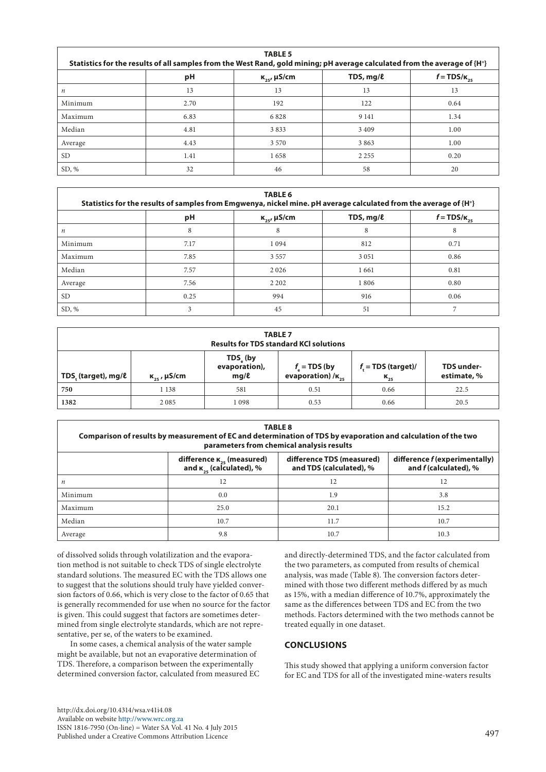| <b>TABLE 5</b><br>Statistics for the results of all samples from the West Rand, gold mining; pH average calculated from the average of {H <sup>+</sup> } |      |                       |             |                  |  |  |
|----------------------------------------------------------------------------------------------------------------------------------------------------------|------|-----------------------|-------------|------------------|--|--|
|                                                                                                                                                          | pH   | $K_{25}$ , $\mu$ S/cm | TDS, $mg/l$ | $f = TDS/K_{25}$ |  |  |
| $\boldsymbol{n}$                                                                                                                                         | 13   | 13                    | 13          | 13               |  |  |
| Minimum                                                                                                                                                  | 2.70 | 192                   | 122         | 0.64             |  |  |
| Maximum                                                                                                                                                  | 6.83 | 6828                  | 9 1 4 1     | 1.34             |  |  |
| Median                                                                                                                                                   | 4.81 | 3833                  | 3409        | 1.00             |  |  |
| Average                                                                                                                                                  | 4.43 | 3 5 7 0               | 3863        | 1.00             |  |  |
| <b>SD</b>                                                                                                                                                | 1.41 | 1658                  | 2 2 5 5     | 0.20             |  |  |
| SD, %                                                                                                                                                    | 32   | 46                    | 58          | 20               |  |  |

| <b>TABLE 6</b><br>Statistics for the results of samples from Emgwenya, nickel mine. pH average calculated from the average of {H <sup>+</sup> } |      |                       |             |                  |  |  |
|-------------------------------------------------------------------------------------------------------------------------------------------------|------|-----------------------|-------------|------------------|--|--|
|                                                                                                                                                 | рH   | $K_{25}$ , $\mu$ S/cm | TDS, $mg/l$ | $f = TDS/K_{25}$ |  |  |
| $\boldsymbol{n}$                                                                                                                                | 8    | 8                     | 8           | 8                |  |  |
| Minimum                                                                                                                                         | 7.17 | 1094                  | 812         | 0.71             |  |  |
| Maximum                                                                                                                                         | 7.85 | 3 5 5 7               | 3 0 5 1     | 0.86             |  |  |
| Median                                                                                                                                          | 7.57 | 2 0 2 6               | 1661        | 0.81             |  |  |
| Average                                                                                                                                         | 7.56 | 2 2 0 2               | 1806        | 0.80             |  |  |
| SD.                                                                                                                                             | 0.25 | 994                   | 916         | 0.06             |  |  |
| SD, %                                                                                                                                           | 3    | 45                    | 51          |                  |  |  |

| <b>TABLE 7</b><br><b>Results for TDS standard KCI solutions</b>                                                                                                                                                               |         |       |      |      |      |  |  |
|-------------------------------------------------------------------------------------------------------------------------------------------------------------------------------------------------------------------------------|---------|-------|------|------|------|--|--|
| TDS <sub>s</sub> (by<br>evaporation),<br>$f_t = TDS$ (target)/<br>$f_{\circ}$ = TDS (by<br>TDS under-<br>evaporation) / $\kappa_{25}$<br>$K_{25}$<br>mg/l<br>estimate, %<br>TDS, (target), mg/ℓ<br>$\kappa_{25}$ , $\mu$ S/cm |         |       |      |      |      |  |  |
| 750                                                                                                                                                                                                                           | 1 1 3 8 | 581   | 0.51 | 0.66 | 22.5 |  |  |
| 1382                                                                                                                                                                                                                          | 2085    | 1 098 | 0.53 | 0.66 | 20.5 |  |  |

| <b>TABLE 8</b><br>Comparison of results by measurement of EC and determination of TDS by evaporation and calculation of the two<br>parameters from chemical analysis results               |      |      |      |  |  |  |
|--------------------------------------------------------------------------------------------------------------------------------------------------------------------------------------------|------|------|------|--|--|--|
| difference TDS (measured)<br>difference f (experimentally)<br>difference $\kappa_{25}$ (measured)<br>and $\kappa_{25}$ (calculated), %<br>and f (calculated), %<br>and TDS (calculated), % |      |      |      |  |  |  |
| п                                                                                                                                                                                          | 12   | 12   | 12   |  |  |  |
| Minimum                                                                                                                                                                                    | 0.0  | 1.9  | 3.8  |  |  |  |
| Maximum                                                                                                                                                                                    | 25.0 | 20.1 | 15.2 |  |  |  |
| Median                                                                                                                                                                                     | 10.7 | 11.7 | 10.7 |  |  |  |
| Average                                                                                                                                                                                    | 9.8  | 10.7 | 10.3 |  |  |  |

of dissolved solids through volatilization and the evaporation method is not suitable to check TDS of single electrolyte standard solutions. The measured EC with the TDS allows one to suggest that the solutions should truly have yielded conversion factors of 0.66, which is very close to the factor of 0.65 that is generally recommended for use when no source for the factor is given. This could suggest that factors are sometimes determined from single electrolyte standards, which are not representative, per se, of the waters to be examined.

In some cases, a chemical analysis of the water sample might be available, but not an evaporative determination of TDS. Therefore, a comparison between the experimentally determined conversion factor, calculated from measured EC

analysis, was made (Table 8). The conversion factors determined with those two different methods differed by as much as 15%, with a median difference of 10.7%, approximately the same as the differences between TDS and EC from the two methods. Factors determined with the two methods cannot be treated equally in one dataset. **CONCLUSIONS**

This study showed that applying a uniform conversion factor for EC and TDS for all of the investigated mine-waters results

and directly-determined TDS, and the factor calculated from the two parameters, as computed from results of chemical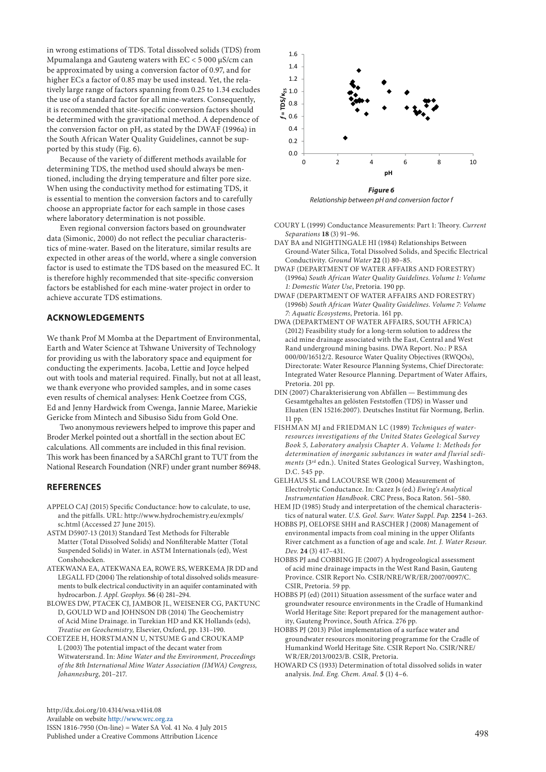in wrong estimations of TDS. Total dissolved solids (TDS) from Mpumalanga and Gauteng waters with EC < 5 000 µS/cm can be approximated by using a conversion factor of 0.97, and for higher ECs a factor of 0.85 may be used instead. Yet, the relatively large range of factors spanning from 0.25 to 1.34 excludes the use of a standard factor for all mine-waters. Consequently, it is recommended that site-specific conversion factors should be determined with the gravitational method. A dependence of the conversion factor on pH, as stated by the DWAF (1996a) in the South African Water Quality Guidelines, cannot be supported by this study (Fig. 6).

Because of the variety of different methods available for determining TDS, the method used should always be mentioned, including the drying temperature and filter pore size. When using the conductivity method for estimating TDS, it is essential to mention the conversion factors and to carefully choose an appropriate factor for each sample in those cases where laboratory determination is not possible.

Even regional conversion factors based on groundwater data (Simonic, 2000) do not reflect the peculiar characteristics of mine-water. Based on the literature, similar results are expected in other areas of the world, where a single conversion factor is used to estimate the TDS based on the measured EC. It is therefore highly recommended that site-specific conversion factors be established for each mine-water project in order to achieve accurate TDS estimations.

## **ACKNOWLEDGEMENTS**

We thank Prof M Momba at the Department of Environmental, Earth and Water Science at Tshwane University of Technology for providing us with the laboratory space and equipment for conducting the experiments. Jacoba, Lettie and Joyce helped out with tools and material required. Finally, but not at all least, we thank everyone who provided samples, and in some cases even results of chemical analyses: Henk Coetzee from CGS, Ed and Jenny Hardwick from Cwenga, Jannie Maree, Mariekie Gericke from Mintech and Sibusiso Sidu from Gold One.

Two anonymous reviewers helped to improve this paper and Broder Merkel pointed out a shortfall in the section about EC calculations. All comments are included in this final revision. This work has been financed by a SARChI grant to TUT from the National Research Foundation (NRF) under grant number 86948.

## **REFERENCES**

- APPELO CAJ (2015) Specific Conductance: how to calculate, to use, and the pitfalls. URL: http://www.hydrochemistry.eu/exmpls/ sc.html (Accessed 27 June 2015).
- ASTM D5907-13 (2013) Standard Test Methods for Filterable Matter (Total Dissolved Solids) and Nonfilterable Matter (Total Suspended Solids) in Water. in ASTM Internationals (ed), West Conshohocken.
- ATEKWANA EA, ATEKWANA EA, ROWE RS, WERKEMA JR DD and LEGALL FD (2004) The relationship of total dissolved solids measurements to bulk electrical conductivity in an aquifer contaminated with hydrocarbon. *J. Appl. Geophys.* **56** (4) 281–294.
- BLOWES DW, PTACEK CJ, JAMBOR JL, WEISENER CG, PAKTUNC D, GOULD WD and JOHNSON DB (2014) The Geochemistry of Acid Mine Drainage. in Turekian HD and KK Hollands (eds), *Treatise on Geochemistry,* Elsevier, Oxford, pp. 131–190.
- COETZEE H, HORSTMANN U, NTSUME G and CROUKAMP L (2003) The potential impact of the decant water from Witwatersrand. In: *Mine Water and the Environment, Proceedings of the 8th International Mine Water Association (IMWA) Congress, Johannesburg*, 201–217.



*Relationship between pH and conversion factor f* Fig. 6 – Relationship between pH and conversion factor f

- COURY L (1999) Conductance Measurements: Part 1: Theory. *Current Separations* **18** (3) 91–96.
- DAY BA and NIGHTINGALE HI (1984) Relationships Between Ground-Water Silica, Total Dissolved Solids, and Specific Electrical Conductivity. *Ground Water* **22** (1) 80–85.
- DWAF (DEPARTMENT OF WATER AFFAIRS AND FORESTRY) (1996a) *South African Water Quality Guidelines*. *Volume 1: Volume 1: Domestic Water Use*, Pretoria. 190 pp.
- DWAF (DEPARTMENT OF WATER AFFAIRS AND FORESTRY) (1996b) *South African Water Quality Guidelines*. *Volume 7: Volume 7: Aquatic Ecosystems*, Pretoria. 161 pp.
- DWA (DEPARTMENT OF WATER AFFAIRS, SOUTH AFRICA) (2012) Feasibility study for a long-term solution to address the acid mine drainage associated with the East, Central and West Rand underground mining basins. DWA Report. No.: P RSA 000/00/16512/2. Resource Water Quality Objectives (RWQOs), Directorate: Water Resource Planning Systems, Chief Directorate: Integrated Water Resource Planning. Department of Water Affairs, Pretoria. 201 pp.
- DIN (2007) Charakterisierung von Abfällen Bestimmung des Gesamtgehaltes an gelösten Feststoffen (TDS) in Wasser und Eluaten (EN 15216:2007). Deutsches Institut für Normung, Berlin. 11 pp.
- FISHMAN MJ and FRIEDMAN LC (1989) *Techniques of waterresources investigations of the United States Geological Survey Book 5, Laboratory analysis Chapter A*. *Volume 1: Methods for determination of inorganic substances in water and fluvial sediments* (3rd edn.). United States Geological Survey, Washington, D.C. 545 pp.
- GELHAUS SL and LACOURSE WR (2004) Measurement of Electrolytic Conductance. In: Cazez Js (ed.) *Ewing's Analytical Instrumentation Handbook*. CRC Press, Boca Raton. 561–580. HEM JD (1985) Study and interpretation of the chemical characteris-
- tics of natural water. *U.S. Geol. Surv. Water Suppl. Pap.* **2254** 1–263.
- HOBBS PJ, OELOFSE SHH and RASCHER J (2008) Management of environmental impacts from coal mining in the upper Olifants River catchment as a function of age and scale. *Int. J. Water Resour. Dev.* **24** (3) 417–431.
- HOBBS PJ and COBBING JE (2007) A hydrogeological assessment of acid mine drainage impacts in the West Rand Basin, Gauteng Province. CSIR Report No. CSIR/NRE/WR/ER/2007/0097/C. CSIR, Pretoria. 59 pp.
- HOBBS PJ (ed) (2011) Situation assessment of the surface water and groundwater resource environments in the Cradle of Humankind World Heritage Site: Report prepared for the management authority, Gauteng Province, South Africa. 276 pp.
- HOBBS PJ (2013) Pilot implementation of a surface water and groundwater resources monitoring programme for the Cradle of Humankind World Heritage Site. CSIR Report No. CSIR/NRE/ WR/ER/2013/0023/B. CSIR, Pretoria.
- HOWARD CS (1933) Determination of total dissolved solids in water analysis. *Ind. Eng. Chem. Anal.* **5** (1) 4–6.

[http://dx.doi.org/10.4314/wsa.v41i4.](http://dx.doi.org/10.4314/wsa.v41i4.08)08 Available on website <http://www.wrc.org.za> ISSN 1816-7950 (On-line) = Water SA Vol. 41 No. 4 July 2015 Published under a Creative Commons Attribution Licence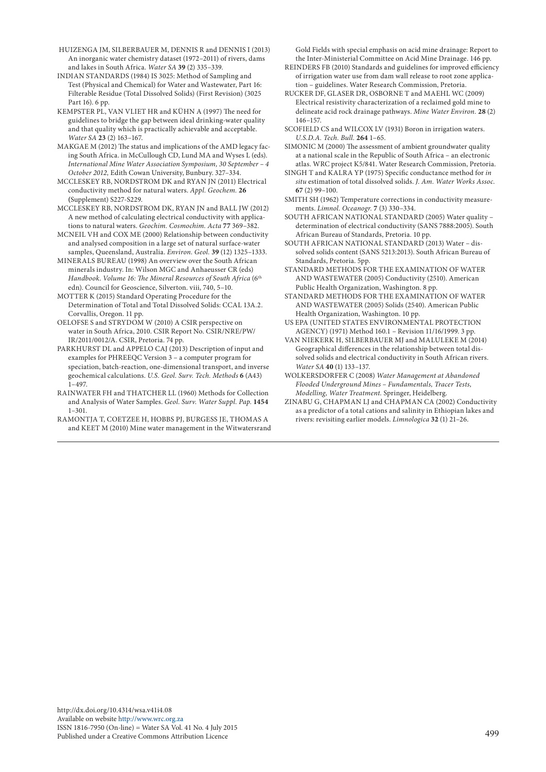- HUIZENGA JM, SILBERBAUER M, DENNIS R and DENNIS I (2013) An inorganic water chemistry dataset (1972–2011) of rivers, dams and lakes in South Africa. *Water SA* **39** (2) 335–339.
- INDIAN STANDARDS (1984) IS 3025: Method of Sampling and Test (Physical and Chemical) for Water and Wastewater, Part 16: Filterable Residue (Total Dissolved Solids) (First Revision) (3025 Part 16). 6 pp.
- KEMPSTER PL, VAN VLIET HR and KÜHN A (1997) The need for guidelines to bridge the gap between ideal drinking-water quality and that quality which is practically achievable and acceptable. *Water SA* **23** (2) 163–167.
- MAKGAE M (2012) The status and implications of the AMD legacy facing South Africa. in McCullough CD, Lund MA and Wyses L (eds). *International Mine Water Association Symposium, 30 September – 4 October 2012,* Edith Cowan University, Bunbury. 327–334.
- MCCLESKEY RB, NORDSTROM DK and RYAN JN (2011) Electrical conductivity method for natural waters. *Appl. Geochem.* **26 (**Supplement) S227-S229.
- MCCLESKEY RB, NORDSTROM DK, RYAN JN and BALL JW (2012) A new method of calculating electrical conductivity with applications to natural waters. *Geochim. Cosmochim. Acta* **77** 369–382.
- MCNEIL VH and COX ME (2000) Relationship between conductivity and analysed composition in a large set of natural surface-water samples, Queensland, Australia. *Environ. Geol.* **39** (12) 1325–1333.
- MINERALS BUREAU (1998) An overview over the South African minerals industry. In: Wilson MGC and Anhaeusser CR (eds) *Handbook*. *Volume 16: The Mineral Resources of South Africa* (6th edn). Council for Geoscience, Silverton. viii, 740, 5–10.
- MOTTER K (2015) Standard Operating Procedure for the Determination of Total and Total Dissolved Solids: CCAL 13A.2. Corvallis, Oregon. 11 pp.
- OELOFSE S and STRYDOM W (2010) A CSIR perspective on water in South Africa, 2010. CSIR Report No. CSIR/NRE/PW/ IR/2011/0012/A. CSIR, Pretoria. 74 pp.
- PARKHURST DL and APPELO CAJ (2013) Description of input and examples for PHREEQC Version 3 – a computer program for speciation, batch-reaction, one-dimensional transport, and inverse geochemical calculations. *U.S. Geol. Surv. Tech. Methods* **6** (A43) 1–497.
- RAINWATER FH and THATCHER LL (1960) Methods for Collection and Analysis of Water Samples. *Geol. Surv. Water Suppl. Pap.* **1454** 1–301.
- RAMONTJA T, COETZEE H, HOBBS PJ, BURGESS JE, THOMAS A and KEET M (2010) Mine water management in the Witwatersrand

Gold Fields with special emphasis on acid mine drainage: Report to the Inter-Ministerial Committee on Acid Mine Drainage. 146 pp.

- REINDERS FB (2010) Standards and guidelines for improved efficiency of irrigation water use from dam wall release to root zone application – guidelines. Water Research Commission, Pretoria.
- RUCKER DF, GLASER DR, OSBORNE T and MAEHL WC (2009) Electrical resistivity characterization of a reclaimed gold mine to delineate acid rock drainage pathways. *Mine Water Environ.* **28** (2) 146–157.
- SCOFIELD CS and WILCOX LV (1931) Boron in irrigation waters. *U.S.D.A. Tech. Bull.* **264** 1–65.
- SIMONIC M (2000) The assessment of ambient groundwater quality at a national scale in the Republic of South Africa – an electronic atlas. WRC project K5/841. Water Research Commission, Pretoria.
- SINGH T and KALRA YP (1975) Specific conductance method for *in situ* estimation of total dissolved solids. *J. Am. Water Works Assoc.*  **67** (2) 99–100.
- SMITH SH (1962) Temperature corrections in conductivity measurements. *Limnol. Oceanogr.* **7** (3) 330–334.
- SOUTH AFRICAN NATIONAL STANDARD (2005) Water quality determination of electrical conductivity (SANS 7888:2005). South African Bureau of Standards, Pretoria. 10 pp.
- SOUTH AFRICAN NATIONAL STANDARD (2013) Water dissolved solids content (SANS 5213:2013). South African Bureau of Standards, Pretoria. 5pp.
- STANDARD METHODS FOR THE EXAMINATION OF WATER AND WASTEWATER (2005) Conductivity (2510). American Public Health Organization, Washington. 8 pp.
- STANDARD METHODS FOR THE EXAMINATION OF WATER AND WASTEWATER (2005) Solids (2540). American Public Health Organization, Washington. 10 pp.
- US EPA (UNITED STATES ENVIRONMENTAL PROTECTION AGENCY) (1971) Method 160.1 – Revision 11/16/1999. 3 pp.
- VAN NIEKERK H, SILBERBAUER MJ and MALULEKE M (2014) Geographical differences in the relationship between total dissolved solids and electrical conductivity in South African rivers. *Water SA* **40** (1) 133–137.
- WOLKERSDORFER C (2008) *Water Management at Abandoned Flooded Underground Mines – Fundamentals, Tracer Tests, Modelling, Water Treatment.* Springer, Heidelberg.
- ZINABU G, CHAPMAN LJ and CHAPMAN CA (2002) Conductivity as a predictor of a total cations and salinity in Ethiopian lakes and rivers: revisiting earlier models. *Limnologica* **32** (1) 21–26.